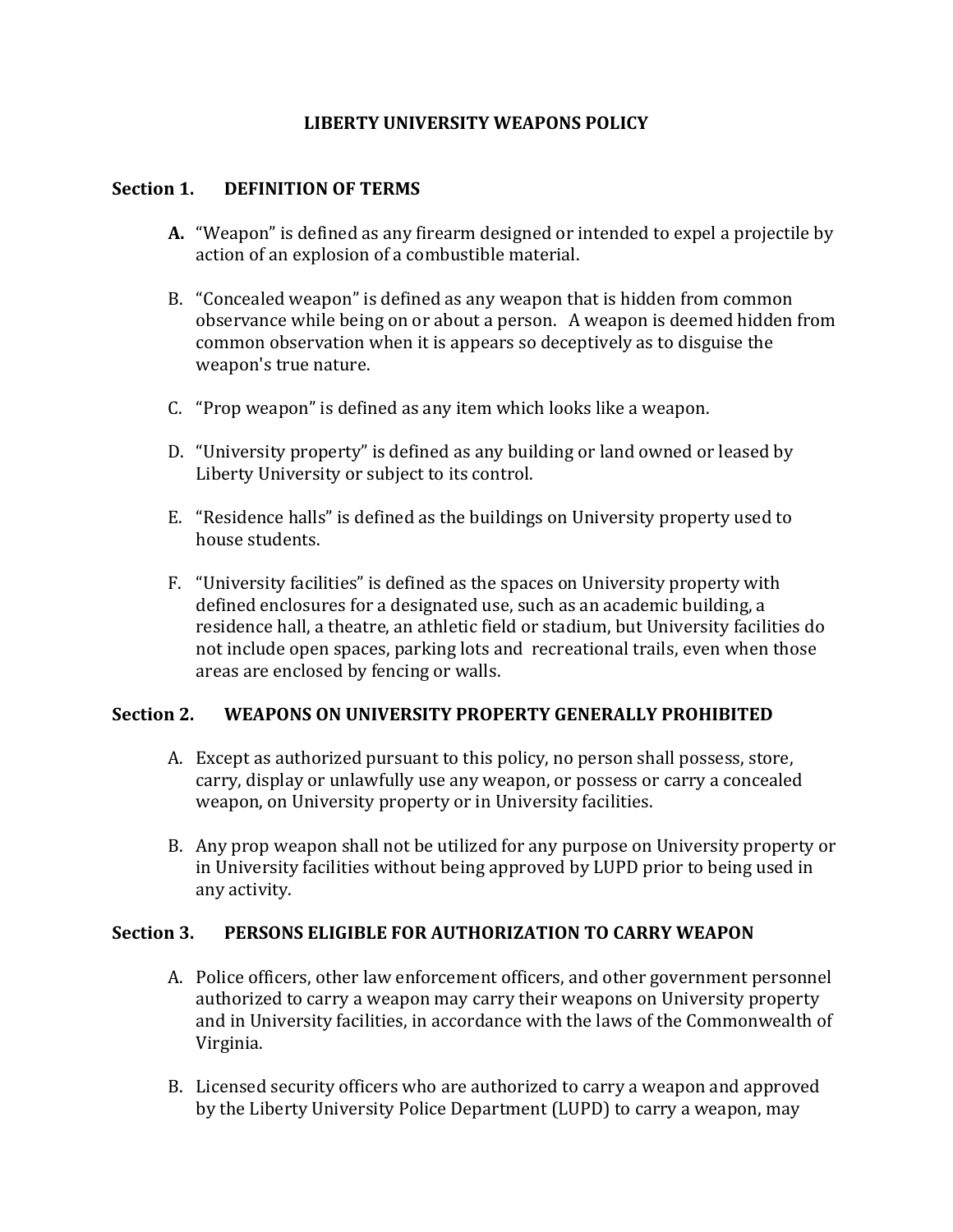### **LIBERTY UNIVERSITY WEAPONS POLICY**

### **Section 1. DEFINITION OF TERMS**

- **A.** "Weapon" is defined as any firearm designed or intended to expel a projectile by action of an explosion of a combustible material.
- B. "Concealed weapon" is defined as any weapon that is hidden from common observance while being on or about a person. A weapon is deemed hidden from common observation when it is appears so deceptively as to disguise the weapon's true nature.
- C. "Prop weapon" is defined as any item which looks like a weapon.
- D. "University property" is defined as any building or land owned or leased by Liberty University or subject to its control.
- E. "Residence halls" is defined as the buildings on University property used to house students.
- F. "University facilities" is defined as the spaces on University property with defined enclosures for a designated use, such as an academic building, a residence hall, a theatre, an athletic field or stadium, but University facilities do not include open spaces, parking lots and recreational trails, even when those areas are enclosed by fencing or walls.

## **Section 2. WEAPONS ON UNIVERSITY PROPERTY GENERALLY PROHIBITED**

- A. Except as authorized pursuant to this policy, no person shall possess, store, carry, display or unlawfully use any weapon, or possess or carry a concealed weapon, on University property or in University facilities.
- B. Any prop weapon shall not be utilized for any purpose on University property or in University facilities without being approved by LUPD prior to being used in any activity.

### **Section 3. PERSONS ELIGIBLE FOR AUTHORIZATION TO CARRY WEAPON**

- A. Police officers, other law enforcement officers, and other government personnel authorized to carry a weapon may carry their weapons on University property and in University facilities, in accordance with the laws of the Commonwealth of Virginia.
- B. Licensed security officers who are authorized to carry a weapon and approved by the Liberty University Police Department (LUPD) to carry a weapon, may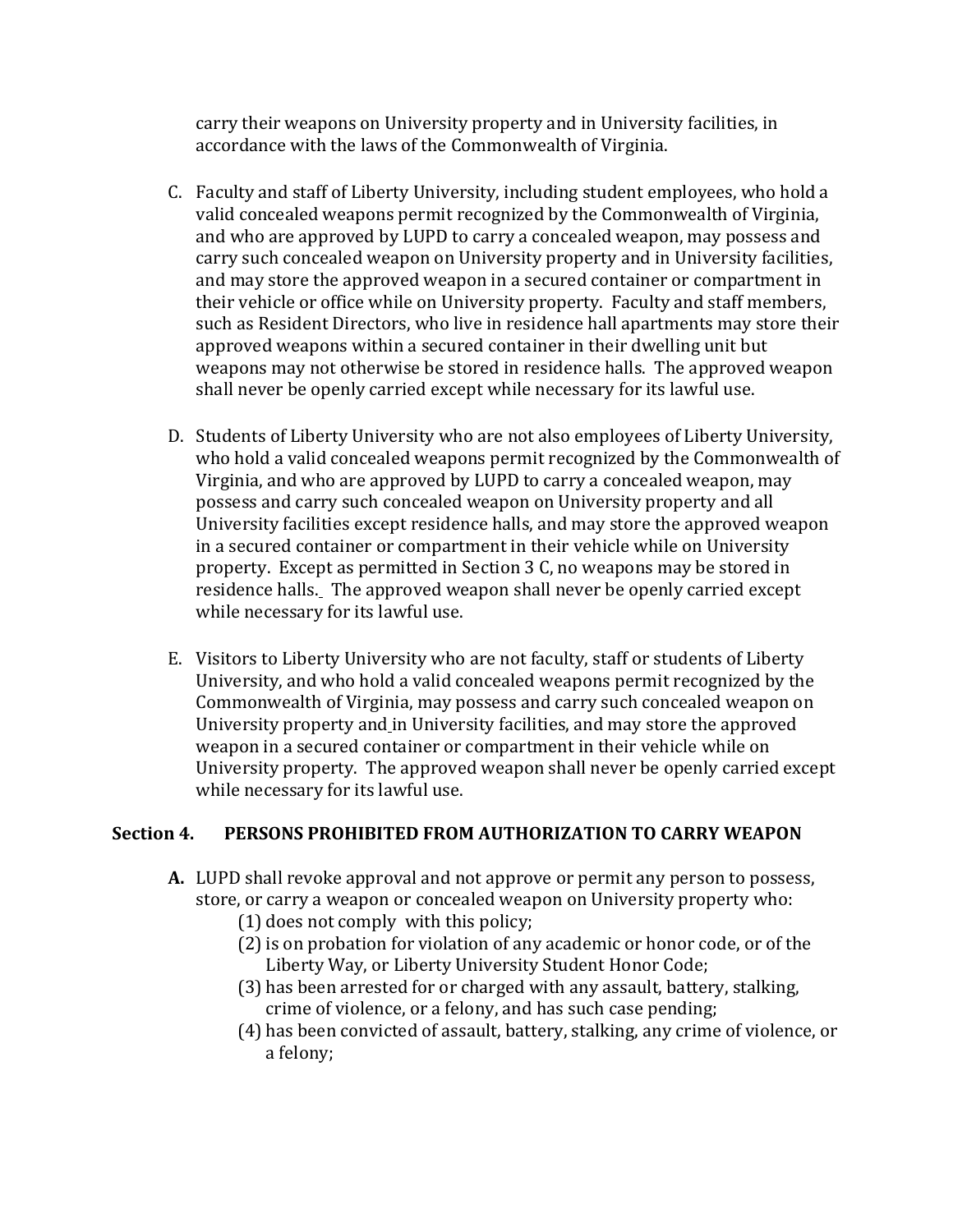carry their weapons on University property and in University facilities, in accordance with the laws of the Commonwealth of Virginia.

- C. Faculty and staff of Liberty University, including student employees, who hold a valid concealed weapons permit recognized by the Commonwealth of Virginia, and who are approved by LUPD to carry a concealed weapon, may possess and carry such concealed weapon on University property and in University facilities, and may store the approved weapon in a secured container or compartment in their vehicle or office while on University property. Faculty and staff members, such as Resident Directors, who live in residence hall apartments may store their approved weapons within a secured container in their dwelling unit but weapons may not otherwise be stored in residence halls. The approved weapon shall never be openly carried except while necessary for its lawful use.
- D. Students of Liberty University who are not also employees of Liberty University, who hold a valid concealed weapons permit recognized by the Commonwealth of Virginia, and who are approved by LUPD to carry a concealed weapon, may possess and carry such concealed weapon on University property and all University facilities except residence halls, and may store the approved weapon in a secured container or compartment in their vehicle while on University property. Except as permitted in Section 3 C, no weapons may be stored in residence halls. The approved weapon shall never be openly carried except while necessary for its lawful use.
- E. Visitors to Liberty University who are not faculty, staff or students of Liberty University, and who hold a valid concealed weapons permit recognized by the Commonwealth of Virginia, may possess and carry such concealed weapon on University property and in University facilities, and may store the approved weapon in a secured container or compartment in their vehicle while on University property. The approved weapon shall never be openly carried except while necessary for its lawful use.

## **Section 4. PERSONS PROHIBITED FROM AUTHORIZATION TO CARRY WEAPON**

- **A.** LUPD shall revoke approval and not approve or permit any person to possess, store, or carry a weapon or concealed weapon on University property who:
	- (1) does not comply with this policy;
	- (2)is on probation for violation of any academic or honor code, or of the Liberty Way, or Liberty University Student Honor Code;
	- (3) has been arrested for or charged with any assault, battery, stalking, crime of violence, or a felony, and has such case pending;
	- (4) has been convicted of assault, battery, stalking, any crime of violence, or a felony;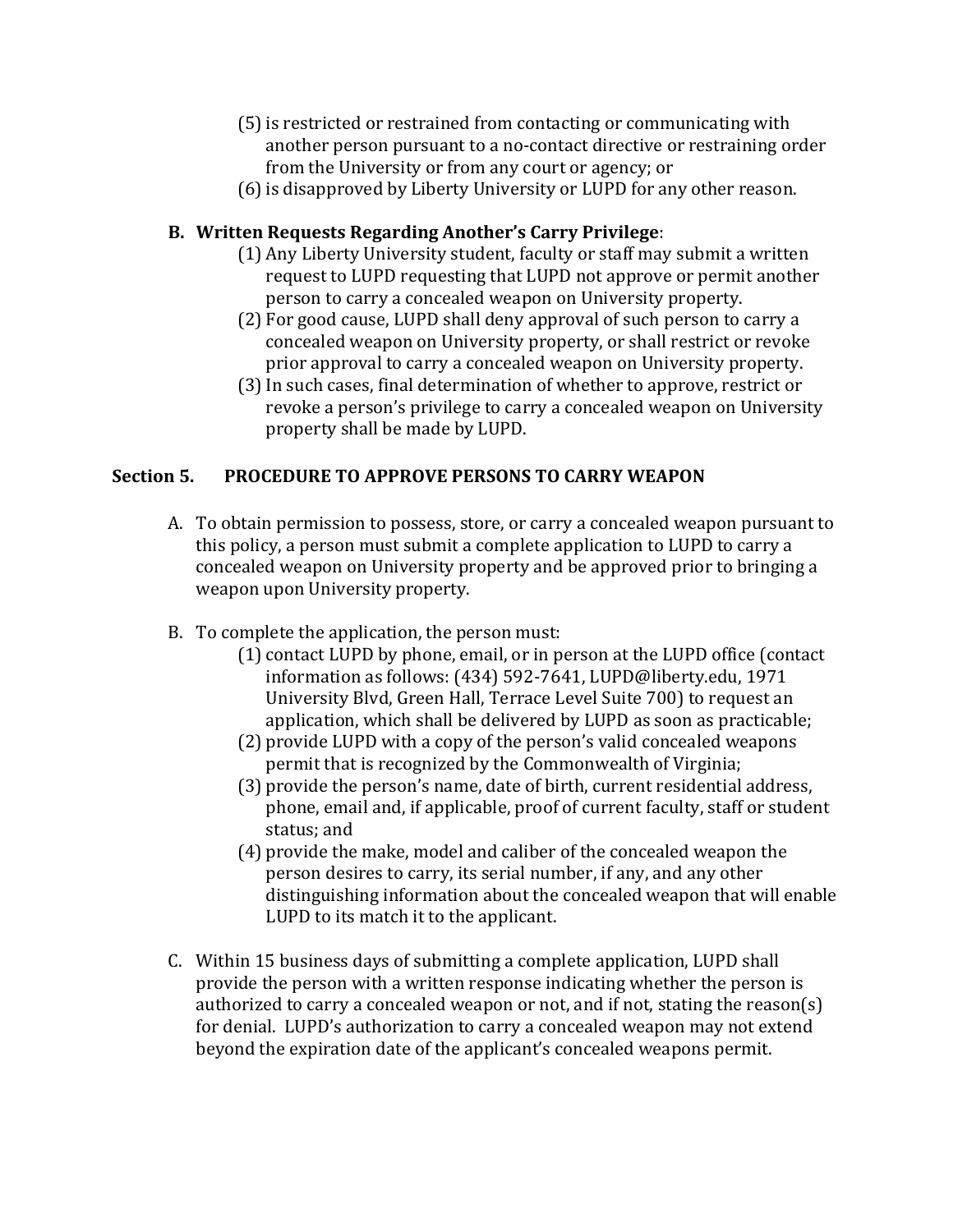- (5)is restricted or restrained from contacting or communicating with another person pursuant to a no-contact directive or restraining order from the University or from any court or agency; or
- (6) is disapproved by Liberty University or LUPD for any other reason.

# **B. Written Requests Regarding Another's Carry Privilege**:

- (1) Any Liberty University student, faculty or staff may submit a written request to LUPD requesting that LUPD not approve or permit another person to carry a concealed weapon on University property.
- (2) For good cause, LUPD shall deny approval of such person to carry a concealed weapon on University property, or shall restrict or revoke prior approval to carry a concealed weapon on University property.
- (3)In such cases, final determination of whether to approve, restrict or revoke a person's privilege to carry a concealed weapon on University property shall be made by LUPD.

# **Section 5. PROCEDURE TO APPROVE PERSONS TO CARRY WEAPON**

- A. To obtain permission to possess, store, or carry a concealed weapon pursuant to this policy, a person must submit a complete application to LUPD to carry a concealed weapon on University property and be approved prior to bringing a weapon upon University property.
- B. To complete the application, the person must:
	- (1) contact LUPD by phone, email, or in person at the LUPD office (contact information as follows: (434) 592-7641, LUPD@liberty.edu, 1971 University Blvd, Green Hall, Terrace Level Suite 700) to request an application, which shall be delivered by LUPD as soon as practicable;
	- (2) provide LUPD with a copy of the person's valid concealed weapons permit that is recognized by the Commonwealth of Virginia;
	- (3) provide the person's name, date of birth, current residential address, phone, email and, if applicable, proof of current faculty, staff or student status; and
	- (4) provide the make, model and caliber of the concealed weapon the person desires to carry, its serial number, if any, and any other distinguishing information about the concealed weapon that will enable LUPD to its match it to the applicant.
- C. Within 15 business days of submitting a complete application, LUPD shall provide the person with a written response indicating whether the person is authorized to carry a concealed weapon or not, and if not, stating the reason(s) for denial. LUPD's authorization to carry a concealed weapon may not extend beyond the expiration date of the applicant's concealed weapons permit.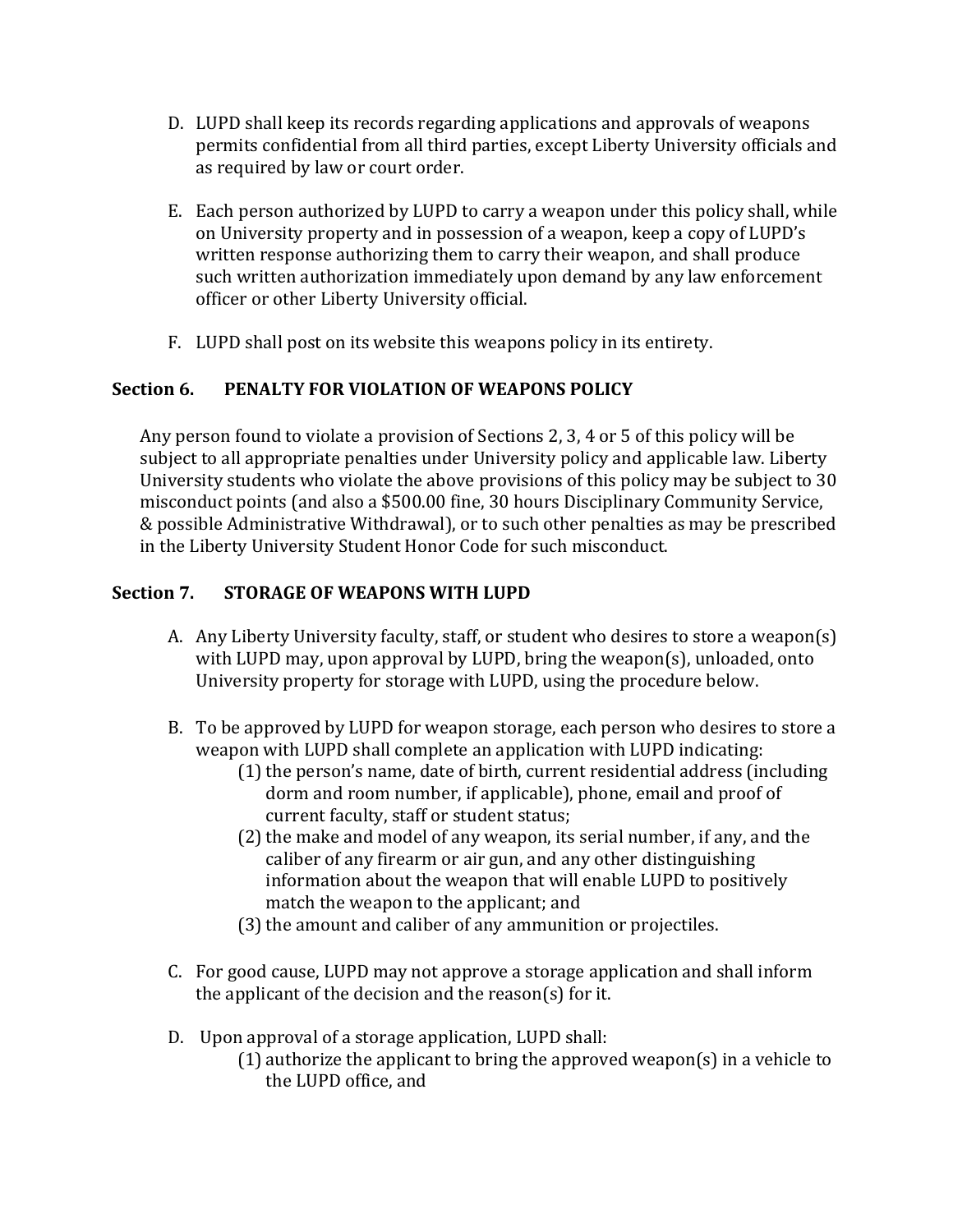- D. LUPD shall keep its records regarding applications and approvals of weapons permits confidential from all third parties, except Liberty University officials and as required by law or court order.
- E. Each person authorized by LUPD to carry a weapon under this policy shall, while on University property and in possession of a weapon, keep a copy of LUPD's written response authorizing them to carry their weapon, and shall produce such written authorization immediately upon demand by any law enforcement officer or other Liberty University official.
- F. LUPD shall post on its website this weapons policy in its entirety.

## **Section 6. PENALTY FOR VIOLATION OF WEAPONS POLICY**

Any person found to violate a provision of Sections 2, 3, 4 or 5 of this policy will be subject to all appropriate penalties under University policy and applicable law. Liberty University students who violate the above provisions of this policy may be subject to 30 misconduct points (and also a \$500.00 fine, 30 hours Disciplinary Community Service, & possible Administrative Withdrawal), or to such other penalties as may be prescribed in the Liberty University Student Honor Code for such misconduct.

## **Section 7. STORAGE OF WEAPONS WITH LUPD**

- A. Any Liberty University faculty, staff, or student who desires to store a weapon(s) with LUPD may, upon approval by LUPD, bring the weapon(s), unloaded, onto University property for storage with LUPD, using the procedure below.
- B. To be approved by LUPD for weapon storage, each person who desires to store a weapon with LUPD shall complete an application with LUPD indicating:
	- $(1)$  the person's name, date of birth, current residential address (including dorm and room number, if applicable), phone, email and proof of current faculty, staff or student status;
	- (2) the make and model of any weapon, its serial number, if any, and the caliber of any firearm or air gun, and any other distinguishing information about the weapon that will enable LUPD to positively match the weapon to the applicant; and
	- (3) the amount and caliber of any ammunition or projectiles.
- C. For good cause, LUPD may not approve a storage application and shall inform the applicant of the decision and the reason(s) for it.
- D. Upon approval of a storage application, LUPD shall:
	- (1) authorize the applicant to bring the approved weapon(s) in a vehicle to the LUPD office, and